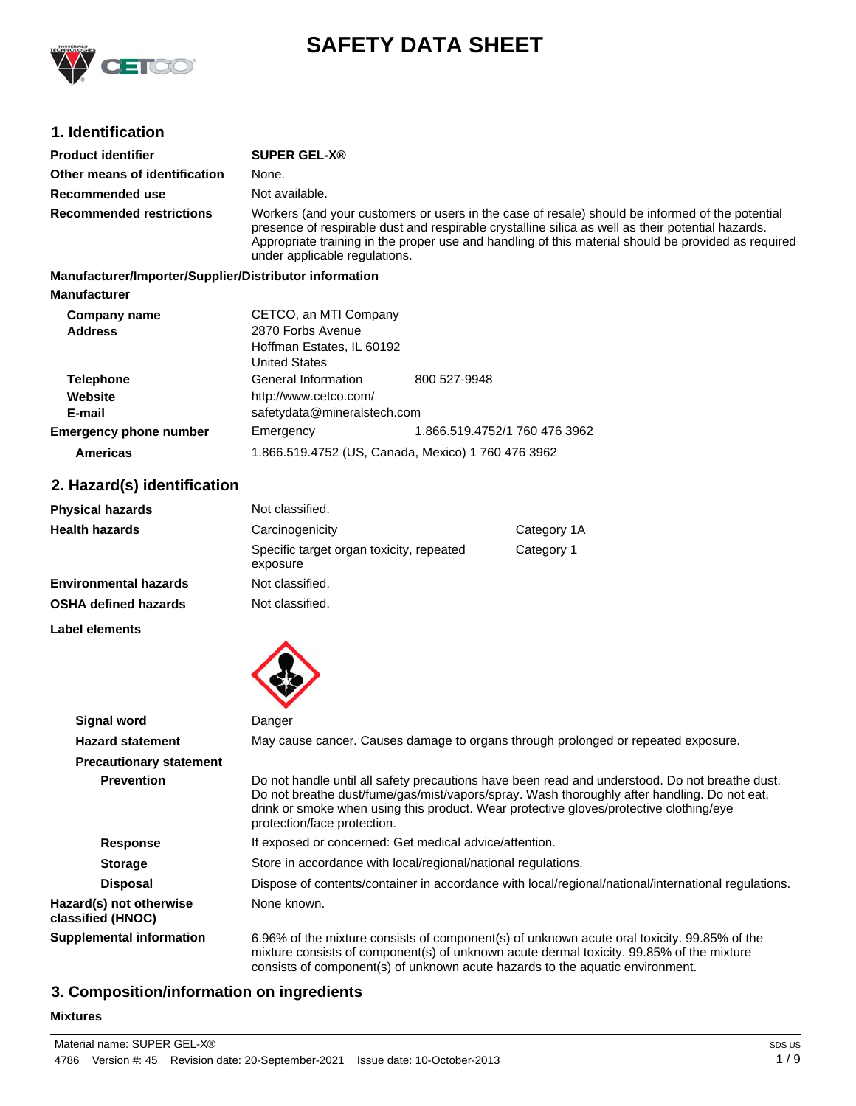

# **SAFETY DATA SHEET**

# **1. Identification**

| <b>Product identifier</b>                              | <b>SUPER GEL-X®</b>                                                                                                                                                                                                                                                                                                                          |
|--------------------------------------------------------|----------------------------------------------------------------------------------------------------------------------------------------------------------------------------------------------------------------------------------------------------------------------------------------------------------------------------------------------|
| Other means of identification                          | None.                                                                                                                                                                                                                                                                                                                                        |
| Recommended use                                        | Not available.                                                                                                                                                                                                                                                                                                                               |
| <b>Recommended restrictions</b>                        | Workers (and your customers or users in the case of resale) should be informed of the potential<br>presence of respirable dust and respirable crystalline silica as well as their potential hazards.<br>Appropriate training in the proper use and handling of this material should be provided as required<br>under applicable regulations. |
| Manufacturer/Importer/Supplier/Distributor information |                                                                                                                                                                                                                                                                                                                                              |
| <b>Manufacturer</b>                                    |                                                                                                                                                                                                                                                                                                                                              |
| Company name                                           | CETCO, an MTI Company                                                                                                                                                                                                                                                                                                                        |
| A JJ-000                                               | $2070$ Earha Avanua                                                                                                                                                                                                                                                                                                                          |

| <b>UUIIIPUIII</b> IIUIIIU     | 02100, 011 111 1101 1101 11                        |              |  |
|-------------------------------|----------------------------------------------------|--------------|--|
| <b>Address</b>                | 2870 Forbs Avenue                                  |              |  |
|                               | Hoffman Estates, IL 60192                          |              |  |
|                               | <b>United States</b>                               |              |  |
| <b>Telephone</b>              | General Information                                | 800 527-9948 |  |
| Website                       | http://www.cetco.com/                              |              |  |
| E-mail                        | safetydata@mineralstech.com                        |              |  |
| <b>Emergency phone number</b> | 1.866.519.4752/1 760 476 3962<br>Emergency         |              |  |
| <b>Americas</b>               | 1.866.519.4752 (US, Canada, Mexico) 1 760 476 3962 |              |  |

# **2. Hazard(s) identification**

| <b>Physical hazards</b>      | Not classified.                                      |            |
|------------------------------|------------------------------------------------------|------------|
| <b>Health hazards</b>        | Carcinogenicity<br>Category 1A                       |            |
|                              | Specific target organ toxicity, repeated<br>exposure | Category 1 |
| <b>Environmental hazards</b> | Not classified.                                      |            |
| <b>OSHA defined hazards</b>  | Not classified.                                      |            |

**Label elements**



| <b>Signal word</b>                           | Danger                                                                                                                                                                                                                                                                                                                 |  |
|----------------------------------------------|------------------------------------------------------------------------------------------------------------------------------------------------------------------------------------------------------------------------------------------------------------------------------------------------------------------------|--|
| <b>Hazard statement</b>                      | May cause cancer. Causes damage to organs through prolonged or repeated exposure.                                                                                                                                                                                                                                      |  |
| <b>Precautionary statement</b>               |                                                                                                                                                                                                                                                                                                                        |  |
| <b>Prevention</b>                            | Do not handle until all safety precautions have been read and understood. Do not breathe dust.<br>Do not breathe dust/fume/gas/mist/vapors/spray. Wash thoroughly after handling. Do not eat,<br>drink or smoke when using this product. Wear protective gloves/protective clothing/eye<br>protection/face protection. |  |
| <b>Response</b>                              | If exposed or concerned: Get medical advice/attention.                                                                                                                                                                                                                                                                 |  |
| <b>Storage</b>                               | Store in accordance with local/regional/national regulations.                                                                                                                                                                                                                                                          |  |
| <b>Disposal</b>                              | Dispose of contents/container in accordance with local/regional/national/international regulations.                                                                                                                                                                                                                    |  |
| Hazard(s) not otherwise<br>classified (HNOC) | None known.                                                                                                                                                                                                                                                                                                            |  |
| <b>Supplemental information</b>              | 6.96% of the mixture consists of component(s) of unknown acute oral toxicity. 99.85% of the<br>mixture consists of component(s) of unknown acute dermal toxicity. 99.85% of the mixture<br>consists of component(s) of unknown acute hazards to the aquatic environment.                                               |  |

# **3. Composition/information on ingredients**

#### **Mixtures**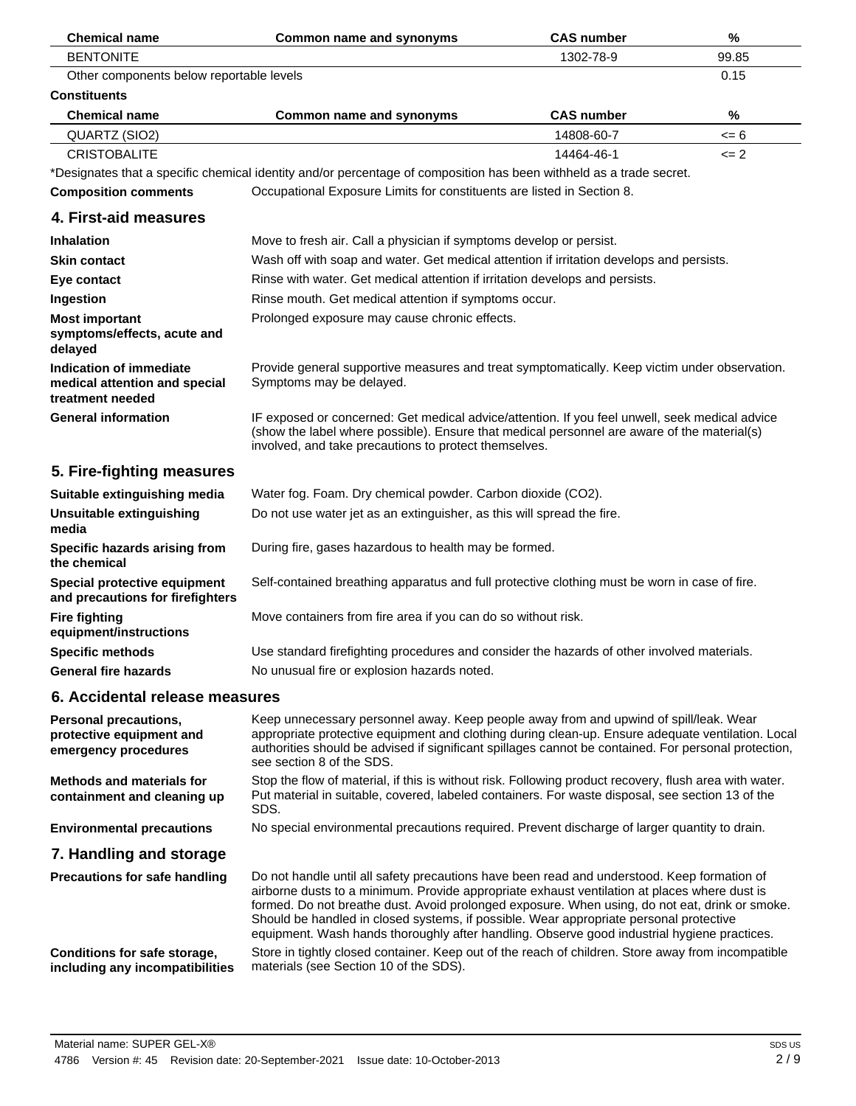| <b>Chemical name</b>                                                                | <b>Common name and synonyms</b>                                                                                                                                                                                                                                                                                                                                                                                                                                                        | <b>CAS number</b> | $\%$  |
|-------------------------------------------------------------------------------------|----------------------------------------------------------------------------------------------------------------------------------------------------------------------------------------------------------------------------------------------------------------------------------------------------------------------------------------------------------------------------------------------------------------------------------------------------------------------------------------|-------------------|-------|
| <b>BENTONITE</b>                                                                    |                                                                                                                                                                                                                                                                                                                                                                                                                                                                                        | 1302-78-9         | 99.85 |
| Other components below reportable levels                                            |                                                                                                                                                                                                                                                                                                                                                                                                                                                                                        |                   | 0.15  |
| <b>Constituents</b>                                                                 |                                                                                                                                                                                                                                                                                                                                                                                                                                                                                        |                   |       |
| <b>Chemical name</b>                                                                | Common name and synonyms                                                                                                                                                                                                                                                                                                                                                                                                                                                               | <b>CAS number</b> | %     |
| QUARTZ (SIO2)                                                                       |                                                                                                                                                                                                                                                                                                                                                                                                                                                                                        | 14808-60-7        | <= 6  |
| <b>CRISTOBALITE</b>                                                                 |                                                                                                                                                                                                                                                                                                                                                                                                                                                                                        | 14464-46-1        | $= 2$ |
|                                                                                     | *Designates that a specific chemical identity and/or percentage of composition has been withheld as a trade secret.                                                                                                                                                                                                                                                                                                                                                                    |                   |       |
| <b>Composition comments</b>                                                         | Occupational Exposure Limits for constituents are listed in Section 8.                                                                                                                                                                                                                                                                                                                                                                                                                 |                   |       |
| 4. First-aid measures                                                               |                                                                                                                                                                                                                                                                                                                                                                                                                                                                                        |                   |       |
| <b>Inhalation</b>                                                                   | Move to fresh air. Call a physician if symptoms develop or persist.                                                                                                                                                                                                                                                                                                                                                                                                                    |                   |       |
| <b>Skin contact</b>                                                                 | Wash off with soap and water. Get medical attention if irritation develops and persists.                                                                                                                                                                                                                                                                                                                                                                                               |                   |       |
| Eye contact                                                                         | Rinse with water. Get medical attention if irritation develops and persists.                                                                                                                                                                                                                                                                                                                                                                                                           |                   |       |
| Ingestion                                                                           | Rinse mouth. Get medical attention if symptoms occur.                                                                                                                                                                                                                                                                                                                                                                                                                                  |                   |       |
| <b>Most important</b>                                                               | Prolonged exposure may cause chronic effects.                                                                                                                                                                                                                                                                                                                                                                                                                                          |                   |       |
| symptoms/effects, acute and<br>delayed                                              |                                                                                                                                                                                                                                                                                                                                                                                                                                                                                        |                   |       |
| <b>Indication of immediate</b><br>medical attention and special<br>treatment needed | Provide general supportive measures and treat symptomatically. Keep victim under observation.<br>Symptoms may be delayed.                                                                                                                                                                                                                                                                                                                                                              |                   |       |
| <b>General information</b>                                                          | IF exposed or concerned: Get medical advice/attention. If you feel unwell, seek medical advice<br>(show the label where possible). Ensure that medical personnel are aware of the material(s)<br>involved, and take precautions to protect themselves.                                                                                                                                                                                                                                 |                   |       |
| 5. Fire-fighting measures                                                           |                                                                                                                                                                                                                                                                                                                                                                                                                                                                                        |                   |       |
| Suitable extinguishing media                                                        | Water fog. Foam. Dry chemical powder. Carbon dioxide (CO2).                                                                                                                                                                                                                                                                                                                                                                                                                            |                   |       |
| Unsuitable extinguishing<br>media                                                   | Do not use water jet as an extinguisher, as this will spread the fire.                                                                                                                                                                                                                                                                                                                                                                                                                 |                   |       |
| Specific hazards arising from<br>the chemical                                       | During fire, gases hazardous to health may be formed.                                                                                                                                                                                                                                                                                                                                                                                                                                  |                   |       |
| Special protective equipment<br>and precautions for firefighters                    | Self-contained breathing apparatus and full protective clothing must be worn in case of fire.                                                                                                                                                                                                                                                                                                                                                                                          |                   |       |
| <b>Fire fighting</b><br>equipment/instructions                                      | Move containers from fire area if you can do so without risk.                                                                                                                                                                                                                                                                                                                                                                                                                          |                   |       |
| <b>Specific methods</b>                                                             | Use standard firefighting procedures and consider the hazards of other involved materials.                                                                                                                                                                                                                                                                                                                                                                                             |                   |       |
| <b>General fire hazards</b>                                                         | No unusual fire or explosion hazards noted.                                                                                                                                                                                                                                                                                                                                                                                                                                            |                   |       |
| 6. Accidental release measures                                                      |                                                                                                                                                                                                                                                                                                                                                                                                                                                                                        |                   |       |
| Personal precautions,<br>protective equipment and<br>emergency procedures           | Keep unnecessary personnel away. Keep people away from and upwind of spill/leak. Wear<br>appropriate protective equipment and clothing during clean-up. Ensure adequate ventilation. Local<br>authorities should be advised if significant spillages cannot be contained. For personal protection,<br>see section 8 of the SDS.                                                                                                                                                        |                   |       |
| <b>Methods and materials for</b><br>containment and cleaning up                     | Stop the flow of material, if this is without risk. Following product recovery, flush area with water.<br>Put material in suitable, covered, labeled containers. For waste disposal, see section 13 of the<br>SDS.                                                                                                                                                                                                                                                                     |                   |       |
| <b>Environmental precautions</b>                                                    | No special environmental precautions required. Prevent discharge of larger quantity to drain.                                                                                                                                                                                                                                                                                                                                                                                          |                   |       |
| 7. Handling and storage                                                             |                                                                                                                                                                                                                                                                                                                                                                                                                                                                                        |                   |       |
| <b>Precautions for safe handling</b>                                                | Do not handle until all safety precautions have been read and understood. Keep formation of<br>airborne dusts to a minimum. Provide appropriate exhaust ventilation at places where dust is<br>formed. Do not breathe dust. Avoid prolonged exposure. When using, do not eat, drink or smoke.<br>Should be handled in closed systems, if possible. Wear appropriate personal protective<br>equipment. Wash hands thoroughly after handling. Observe good industrial hygiene practices. |                   |       |
| Conditions for safe storage,<br>including any incompatibilities                     | Store in tightly closed container. Keep out of the reach of children. Store away from incompatible<br>materials (see Section 10 of the SDS).                                                                                                                                                                                                                                                                                                                                           |                   |       |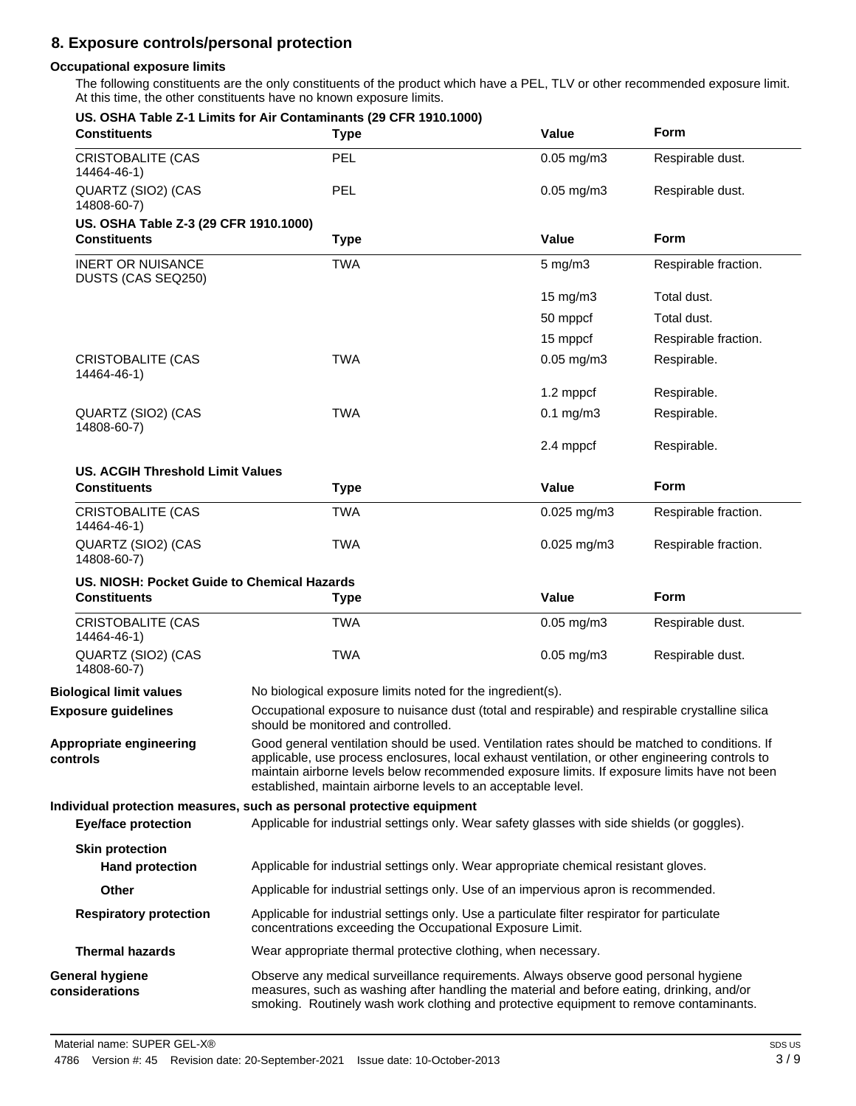# **8. Exposure controls/personal protection**

### **Occupational exposure limits**

The following constituents are the only constituents of the product which have a PEL, TLV or other recommended exposure limit. At this time, the other constituents have no known exposure limits.

| <b>Constituents</b>                                            | US. OSHA Table Z-1 Limits for Air Contaminants (29 CFR 1910.1000)<br><b>Type</b>                                                                                                                                                                                           | Value                                                                                                                                                                                                                                                                                                                                                              | <b>Form</b>          |
|----------------------------------------------------------------|----------------------------------------------------------------------------------------------------------------------------------------------------------------------------------------------------------------------------------------------------------------------------|--------------------------------------------------------------------------------------------------------------------------------------------------------------------------------------------------------------------------------------------------------------------------------------------------------------------------------------------------------------------|----------------------|
| <b>CRISTOBALITE (CAS</b><br>14464-46-1)                        | <b>PEL</b>                                                                                                                                                                                                                                                                 | $0.05$ mg/m $3$                                                                                                                                                                                                                                                                                                                                                    | Respirable dust.     |
| QUARTZ (SIO2) (CAS<br>14808-60-7)                              | <b>PEL</b>                                                                                                                                                                                                                                                                 | $0.05$ mg/m $3$                                                                                                                                                                                                                                                                                                                                                    | Respirable dust.     |
| US. OSHA Table Z-3 (29 CFR 1910.1000)                          |                                                                                                                                                                                                                                                                            |                                                                                                                                                                                                                                                                                                                                                                    |                      |
| <b>Constituents</b>                                            | <b>Type</b>                                                                                                                                                                                                                                                                | Value                                                                                                                                                                                                                                                                                                                                                              | Form                 |
| <b>INERT OR NUISANCE</b><br>DUSTS (CAS SEQ250)                 | <b>TWA</b>                                                                                                                                                                                                                                                                 | $5$ mg/m $3$                                                                                                                                                                                                                                                                                                                                                       | Respirable fraction. |
|                                                                |                                                                                                                                                                                                                                                                            | 15 mg/m3                                                                                                                                                                                                                                                                                                                                                           | Total dust.          |
|                                                                |                                                                                                                                                                                                                                                                            | 50 mppcf                                                                                                                                                                                                                                                                                                                                                           | Total dust.          |
|                                                                |                                                                                                                                                                                                                                                                            | 15 mppcf                                                                                                                                                                                                                                                                                                                                                           | Respirable fraction. |
| <b>CRISTOBALITE (CAS</b><br>14464-46-1)                        | <b>TWA</b>                                                                                                                                                                                                                                                                 | $0.05$ mg/m $3$                                                                                                                                                                                                                                                                                                                                                    | Respirable.          |
|                                                                |                                                                                                                                                                                                                                                                            | 1.2 mppcf                                                                                                                                                                                                                                                                                                                                                          | Respirable.          |
| QUARTZ (SIO2) (CAS<br>14808-60-7)                              | TWA                                                                                                                                                                                                                                                                        | $0.1$ mg/m $3$                                                                                                                                                                                                                                                                                                                                                     | Respirable.          |
|                                                                |                                                                                                                                                                                                                                                                            | 2.4 mppcf                                                                                                                                                                                                                                                                                                                                                          | Respirable.          |
| <b>US. ACGIH Threshold Limit Values</b><br><b>Constituents</b> | <b>Type</b>                                                                                                                                                                                                                                                                | Value                                                                                                                                                                                                                                                                                                                                                              | Form                 |
| <b>CRISTOBALITE (CAS</b><br>14464-46-1)                        | <b>TWA</b>                                                                                                                                                                                                                                                                 | $0.025$ mg/m $3$                                                                                                                                                                                                                                                                                                                                                   | Respirable fraction. |
| QUARTZ (SIO2) (CAS<br>14808-60-7)                              | <b>TWA</b>                                                                                                                                                                                                                                                                 | $0.025$ mg/m3                                                                                                                                                                                                                                                                                                                                                      | Respirable fraction. |
| US. NIOSH: Pocket Guide to Chemical Hazards                    |                                                                                                                                                                                                                                                                            |                                                                                                                                                                                                                                                                                                                                                                    |                      |
| <b>Constituents</b>                                            | <b>Type</b>                                                                                                                                                                                                                                                                | Value                                                                                                                                                                                                                                                                                                                                                              | Form                 |
| <b>CRISTOBALITE (CAS</b><br>14464-46-1)                        | <b>TWA</b>                                                                                                                                                                                                                                                                 | $0.05$ mg/m $3$                                                                                                                                                                                                                                                                                                                                                    | Respirable dust.     |
| QUARTZ (SIO2) (CAS<br>14808-60-7)                              | <b>TWA</b>                                                                                                                                                                                                                                                                 | $0.05$ mg/m $3$                                                                                                                                                                                                                                                                                                                                                    | Respirable dust.     |
| <b>Biological limit values</b>                                 | No biological exposure limits noted for the ingredient(s).                                                                                                                                                                                                                 |                                                                                                                                                                                                                                                                                                                                                                    |                      |
| <b>Exposure guidelines</b>                                     |                                                                                                                                                                                                                                                                            | Occupational exposure to nuisance dust (total and respirable) and respirable crystalline silica<br>should be monitored and controlled.                                                                                                                                                                                                                             |                      |
| Appropriate engineering<br>controls                            |                                                                                                                                                                                                                                                                            | Good general ventilation should be used. Ventilation rates should be matched to conditions. If<br>applicable, use process enclosures, local exhaust ventilation, or other engineering controls to<br>maintain airborne levels below recommended exposure limits. If exposure limits have not been<br>established, maintain airborne levels to an acceptable level. |                      |
|                                                                | Individual protection measures, such as personal protective equipment                                                                                                                                                                                                      |                                                                                                                                                                                                                                                                                                                                                                    |                      |
| <b>Eye/face protection</b>                                     | Applicable for industrial settings only. Wear safety glasses with side shields (or goggles).                                                                                                                                                                               |                                                                                                                                                                                                                                                                                                                                                                    |                      |
| <b>Skin protection</b><br><b>Hand protection</b>               | Applicable for industrial settings only. Wear appropriate chemical resistant gloves.                                                                                                                                                                                       |                                                                                                                                                                                                                                                                                                                                                                    |                      |
| <b>Other</b>                                                   |                                                                                                                                                                                                                                                                            | Applicable for industrial settings only. Use of an impervious apron is recommended.                                                                                                                                                                                                                                                                                |                      |
| <b>Respiratory protection</b>                                  |                                                                                                                                                                                                                                                                            | Applicable for industrial settings only. Use a particulate filter respirator for particulate<br>concentrations exceeding the Occupational Exposure Limit.                                                                                                                                                                                                          |                      |
| <b>Thermal hazards</b>                                         |                                                                                                                                                                                                                                                                            | Wear appropriate thermal protective clothing, when necessary.                                                                                                                                                                                                                                                                                                      |                      |
| <b>General hygiene</b><br>considerations                       | Observe any medical surveillance requirements. Always observe good personal hygiene<br>measures, such as washing after handling the material and before eating, drinking, and/or<br>smoking. Routinely wash work clothing and protective equipment to remove contaminants. |                                                                                                                                                                                                                                                                                                                                                                    |                      |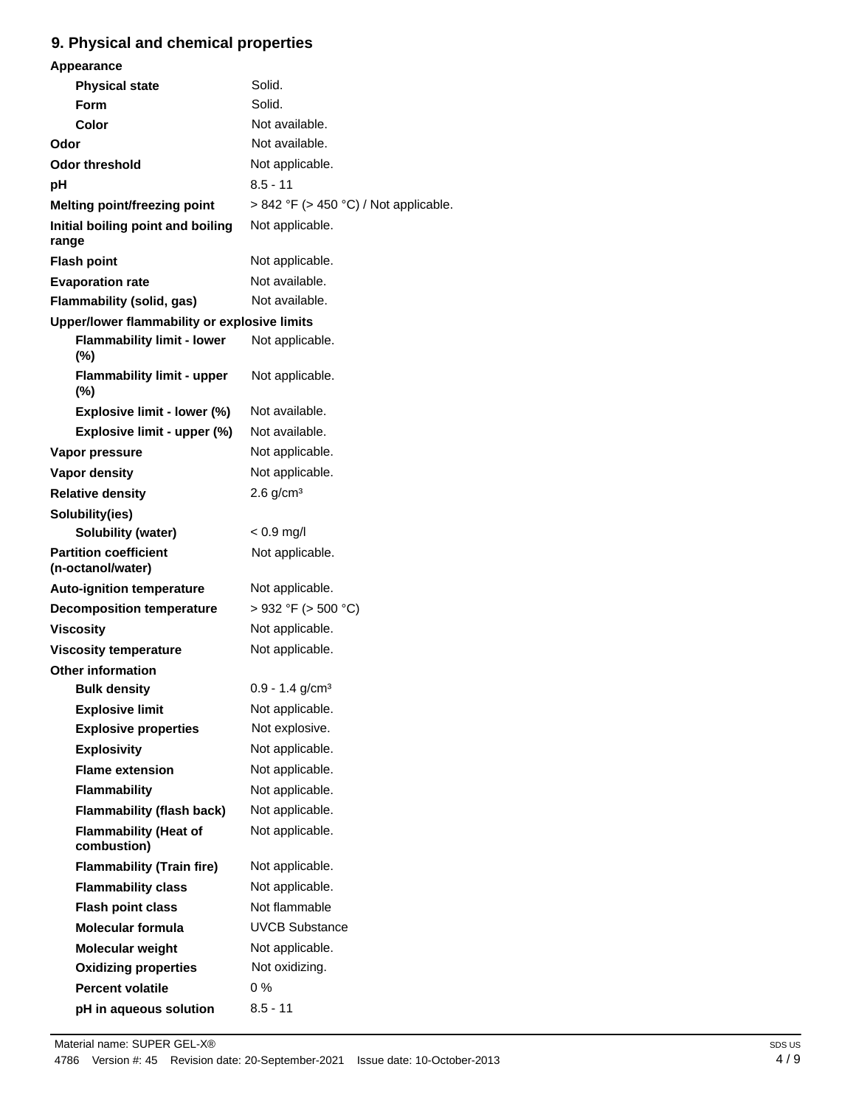# **9. Physical and chemical properties**

| Appearance                                        |                                       |
|---------------------------------------------------|---------------------------------------|
| <b>Physical state</b>                             | Solid.                                |
| Form                                              | Solid.                                |
| Color                                             | Not available.                        |
| Odor                                              | Not available.                        |
| <b>Odor threshold</b>                             | Not applicable.                       |
| рH                                                | $8.5 - 11$                            |
| Melting point/freezing point                      | > 842 °F (> 450 °C) / Not applicable. |
| Initial boiling point and boiling<br>range        | Not applicable.                       |
| <b>Flash point</b>                                | Not applicable.                       |
| <b>Evaporation rate</b>                           | Not available.                        |
| Flammability (solid, gas)                         | Not available.                        |
| Upper/lower flammability or explosive limits      |                                       |
| <b>Flammability limit - lower</b><br>$(\%)$       | Not applicable.                       |
| <b>Flammability limit - upper</b><br>$(\%)$       | Not applicable.                       |
| Explosive limit - lower (%)                       | Not available.                        |
| Explosive limit - upper (%)                       | Not available.                        |
| Vapor pressure                                    | Not applicable.                       |
| <b>Vapor density</b>                              | Not applicable.                       |
| <b>Relative density</b>                           | $2.6$ g/cm <sup>3</sup>               |
| Solubility(ies)                                   |                                       |
| <b>Solubility (water)</b>                         | $< 0.9$ mg/l                          |
| <b>Partition coefficient</b><br>(n-octanol/water) | Not applicable.                       |
| <b>Auto-ignition temperature</b>                  | Not applicable.                       |
| <b>Decomposition temperature</b>                  | $>932$ °F ( $>500$ °C)                |
| <b>Viscosity</b>                                  | Not applicable.                       |
| <b>Viscosity temperature</b>                      | Not applicable.                       |
| <b>Other information</b>                          |                                       |
| <b>Bulk density</b>                               | $0.9 - 1.4$ g/cm <sup>3</sup>         |
| <b>Explosive limit</b>                            | Not applicable.                       |
| <b>Explosive properties</b>                       | Not explosive.                        |
| <b>Explosivity</b>                                | Not applicable.                       |
| <b>Flame extension</b>                            | Not applicable.                       |
| <b>Flammability</b>                               | Not applicable.                       |
| Flammability (flash back)                         | Not applicable.                       |
| <b>Flammability (Heat of</b><br>combustion)       | Not applicable.                       |
| <b>Flammability (Train fire)</b>                  | Not applicable.                       |
| <b>Flammability class</b>                         | Not applicable.                       |
| <b>Flash point class</b>                          | Not flammable                         |
| <b>Molecular formula</b>                          | <b>UVCB Substance</b>                 |
| <b>Molecular weight</b>                           | Not applicable.                       |
| <b>Oxidizing properties</b>                       | Not oxidizing.                        |
| <b>Percent volatile</b>                           | $0\%$                                 |
| pH in aqueous solution                            | $8.5 - 11$                            |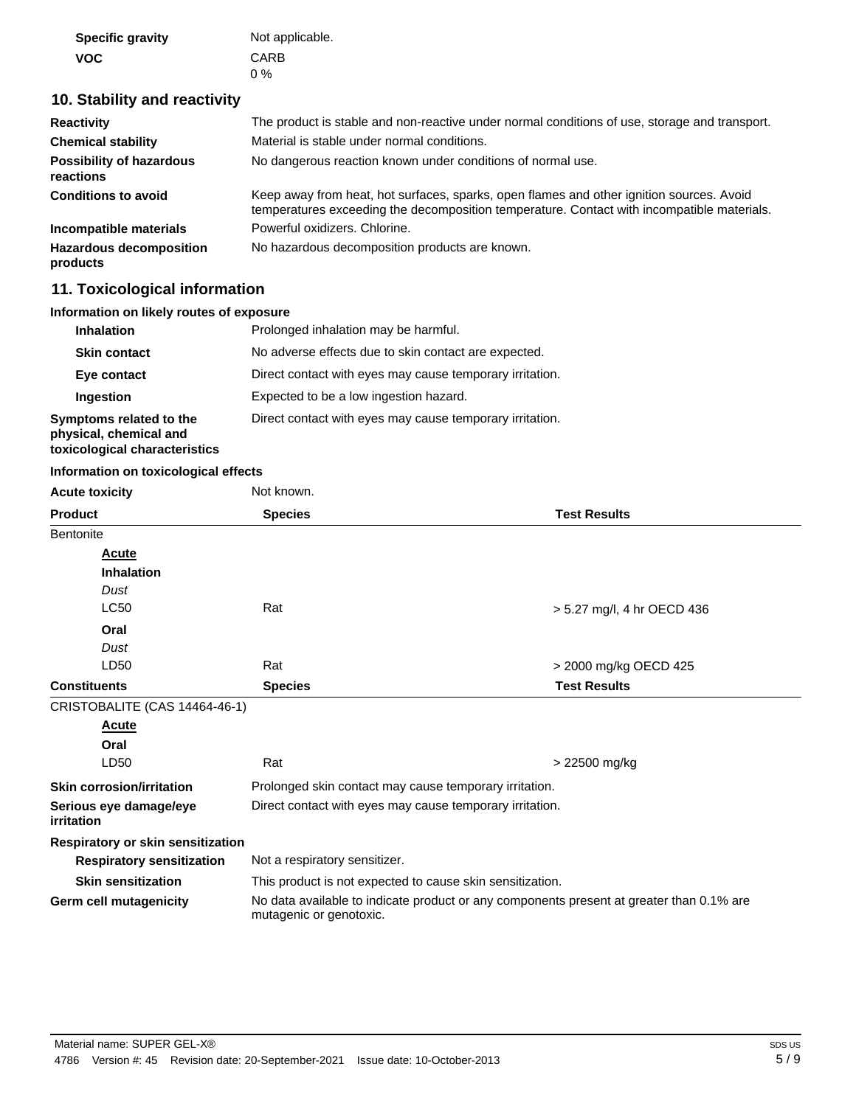| <b>Specific gravity</b> | Not applicable. |
|-------------------------|-----------------|
| <b>VOC</b>              | CARB            |
|                         | $0\%$           |

# **10. Stability and reactivity**

| <b>Reactivity</b>                            | The product is stable and non-reactive under normal conditions of use, storage and transport.                                                                                          |
|----------------------------------------------|----------------------------------------------------------------------------------------------------------------------------------------------------------------------------------------|
| <b>Chemical stability</b>                    | Material is stable under normal conditions.                                                                                                                                            |
| <b>Possibility of hazardous</b><br>reactions | No dangerous reaction known under conditions of normal use.                                                                                                                            |
| <b>Conditions to avoid</b>                   | Keep away from heat, hot surfaces, sparks, open flames and other ignition sources. Avoid<br>temperatures exceeding the decomposition temperature. Contact with incompatible materials. |
| Incompatible materials                       | Powerful oxidizers, Chlorine.                                                                                                                                                          |
| <b>Hazardous decomposition</b><br>products   | No hazardous decomposition products are known.                                                                                                                                         |

# **11. Toxicological information**

# **Information on likely routes of exposure**

| <b>Inhalation</b>                                                                  | Prolonged inhalation may be harmful.                     |  |
|------------------------------------------------------------------------------------|----------------------------------------------------------|--|
| <b>Skin contact</b>                                                                | No adverse effects due to skin contact are expected.     |  |
| Eye contact                                                                        | Direct contact with eyes may cause temporary irritation. |  |
| Ingestion                                                                          | Expected to be a low ingestion hazard.                   |  |
| Symptoms related to the<br>physical, chemical and<br>toxicological characteristics | Direct contact with eyes may cause temporary irritation. |  |

# **Information on toxicological effects**

| <b>Acute toxicity</b>                    | Not known.                                                                                                          |                            |
|------------------------------------------|---------------------------------------------------------------------------------------------------------------------|----------------------------|
| <b>Product</b>                           | <b>Species</b>                                                                                                      | <b>Test Results</b>        |
| <b>Bentonite</b>                         |                                                                                                                     |                            |
| Acute                                    |                                                                                                                     |                            |
| <b>Inhalation</b>                        |                                                                                                                     |                            |
| Dust                                     |                                                                                                                     |                            |
| <b>LC50</b>                              | Rat                                                                                                                 | > 5.27 mg/l, 4 hr OECD 436 |
| Oral                                     |                                                                                                                     |                            |
| Dust                                     |                                                                                                                     |                            |
| LD50                                     | Rat                                                                                                                 | > 2000 mg/kg OECD 425      |
| <b>Constituents</b>                      | <b>Species</b>                                                                                                      | <b>Test Results</b>        |
| CRISTOBALITE (CAS 14464-46-1)            |                                                                                                                     |                            |
| <b>Acute</b>                             |                                                                                                                     |                            |
| Oral                                     |                                                                                                                     |                            |
| LD50                                     | Rat                                                                                                                 | > 22500 mg/kg              |
| <b>Skin corrosion/irritation</b>         | Prolonged skin contact may cause temporary irritation.                                                              |                            |
| Serious eye damage/eye<br>irritation     | Direct contact with eyes may cause temporary irritation.                                                            |                            |
| <b>Respiratory or skin sensitization</b> |                                                                                                                     |                            |
| <b>Respiratory sensitization</b>         | Not a respiratory sensitizer.                                                                                       |                            |
| <b>Skin sensitization</b>                | This product is not expected to cause skin sensitization.                                                           |                            |
| Germ cell mutagenicity                   | No data available to indicate product or any components present at greater than 0.1% are<br>mutagenic or genotoxic. |                            |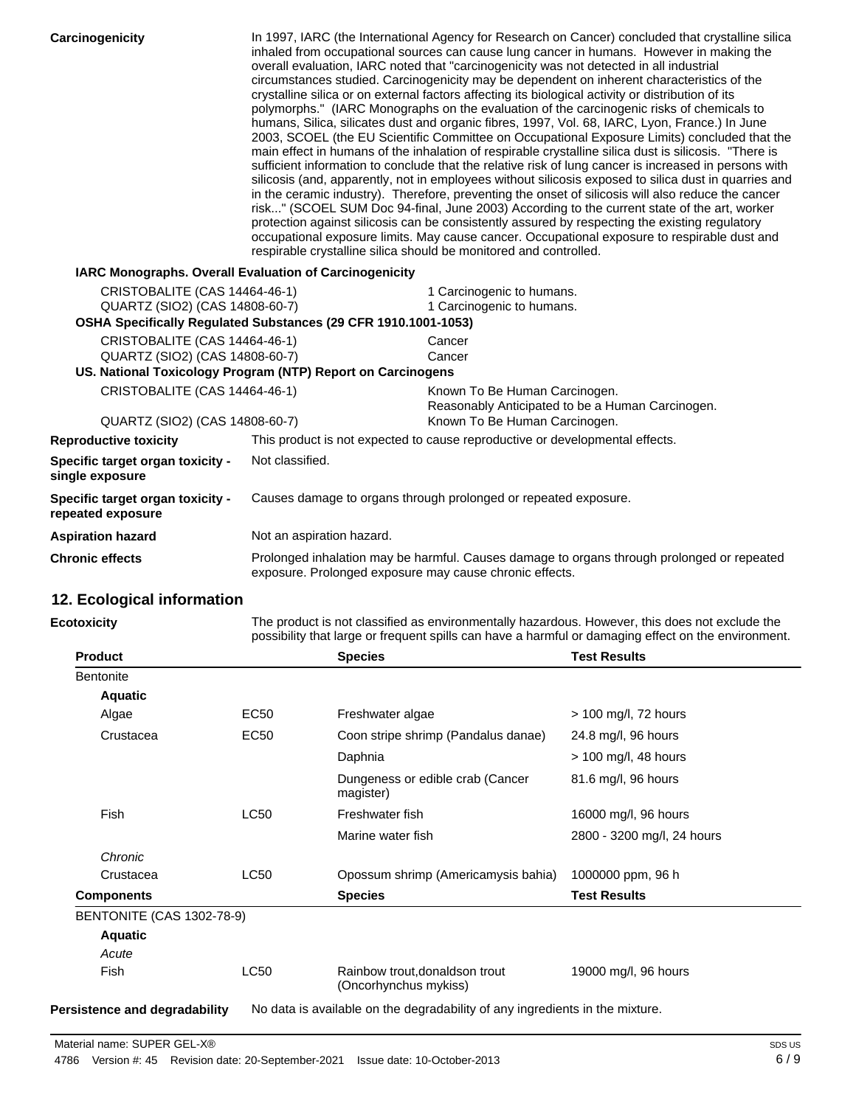| Carcinogenicity                                                 | In 1997, IARC (the International Agency for Research on Cancer) concluded that crystalline silica<br>inhaled from occupational sources can cause lung cancer in humans. However in making the<br>overall evaluation, IARC noted that "carcinogenicity was not detected in all industrial<br>circumstances studied. Carcinogenicity may be dependent on inherent characteristics of the<br>crystalline silica or on external factors affecting its biological activity or distribution of its<br>polymorphs." (IARC Monographs on the evaluation of the carcinogenic risks of chemicals to<br>humans, Silica, silicates dust and organic fibres, 1997, Vol. 68, IARC, Lyon, France.) In June<br>2003, SCOEL (the EU Scientific Committee on Occupational Exposure Limits) concluded that the<br>main effect in humans of the inhalation of respirable crystalline silica dust is silicosis. "There is<br>sufficient information to conclude that the relative risk of lung cancer is increased in persons with<br>silicosis (and, apparently, not in employees without silicosis exposed to silica dust in quarries and<br>in the ceramic industry). Therefore, preventing the onset of silicosis will also reduce the cancer<br>risk" (SCOEL SUM Doc 94-final, June 2003) According to the current state of the art, worker<br>protection against silicosis can be consistently assured by respecting the existing regulatory<br>occupational exposure limits. May cause cancer. Occupational exposure to respirable dust and<br>respirable crystalline silica should be monitored and controlled. |                                                                                   |
|-----------------------------------------------------------------|----------------------------------------------------------------------------------------------------------------------------------------------------------------------------------------------------------------------------------------------------------------------------------------------------------------------------------------------------------------------------------------------------------------------------------------------------------------------------------------------------------------------------------------------------------------------------------------------------------------------------------------------------------------------------------------------------------------------------------------------------------------------------------------------------------------------------------------------------------------------------------------------------------------------------------------------------------------------------------------------------------------------------------------------------------------------------------------------------------------------------------------------------------------------------------------------------------------------------------------------------------------------------------------------------------------------------------------------------------------------------------------------------------------------------------------------------------------------------------------------------------------------------------------------------------------------------------------------------|-----------------------------------------------------------------------------------|
|                                                                 | <b>IARC Monographs. Overall Evaluation of Carcinogenicity</b>                                                                                                                                                                                                                                                                                                                                                                                                                                                                                                                                                                                                                                                                                                                                                                                                                                                                                                                                                                                                                                                                                                                                                                                                                                                                                                                                                                                                                                                                                                                                      |                                                                                   |
| CRISTOBALITE (CAS 14464-46-1)<br>QUARTZ (SIO2) (CAS 14808-60-7) | OSHA Specifically Regulated Substances (29 CFR 1910.1001-1053)                                                                                                                                                                                                                                                                                                                                                                                                                                                                                                                                                                                                                                                                                                                                                                                                                                                                                                                                                                                                                                                                                                                                                                                                                                                                                                                                                                                                                                                                                                                                     | 1 Carcinogenic to humans.<br>1 Carcinogenic to humans.                            |
| CRISTOBALITE (CAS 14464-46-1)<br>QUARTZ (SIO2) (CAS 14808-60-7) | US. National Toxicology Program (NTP) Report on Carcinogens                                                                                                                                                                                                                                                                                                                                                                                                                                                                                                                                                                                                                                                                                                                                                                                                                                                                                                                                                                                                                                                                                                                                                                                                                                                                                                                                                                                                                                                                                                                                        | Cancer<br>Cancer                                                                  |
| CRISTOBALITE (CAS 14464-46-1)                                   |                                                                                                                                                                                                                                                                                                                                                                                                                                                                                                                                                                                                                                                                                                                                                                                                                                                                                                                                                                                                                                                                                                                                                                                                                                                                                                                                                                                                                                                                                                                                                                                                    | Known To Be Human Carcinogen.<br>Reasonably Anticipated to be a Human Carcinogen. |
| QUARTZ (SIO2) (CAS 14808-60-7)                                  |                                                                                                                                                                                                                                                                                                                                                                                                                                                                                                                                                                                                                                                                                                                                                                                                                                                                                                                                                                                                                                                                                                                                                                                                                                                                                                                                                                                                                                                                                                                                                                                                    | Known To Be Human Carcinogen.                                                     |
| <b>Reproductive toxicity</b>                                    |                                                                                                                                                                                                                                                                                                                                                                                                                                                                                                                                                                                                                                                                                                                                                                                                                                                                                                                                                                                                                                                                                                                                                                                                                                                                                                                                                                                                                                                                                                                                                                                                    | This product is not expected to cause reproductive or developmental effects.      |
| Specific target organ toxicity -<br>single exposure             | Not classified.                                                                                                                                                                                                                                                                                                                                                                                                                                                                                                                                                                                                                                                                                                                                                                                                                                                                                                                                                                                                                                                                                                                                                                                                                                                                                                                                                                                                                                                                                                                                                                                    |                                                                                   |
| Specific target organ toxicity -<br>repeated exposure           | Causes damage to organs through prolonged or repeated exposure.                                                                                                                                                                                                                                                                                                                                                                                                                                                                                                                                                                                                                                                                                                                                                                                                                                                                                                                                                                                                                                                                                                                                                                                                                                                                                                                                                                                                                                                                                                                                    |                                                                                   |
| <b>Aspiration hazard</b>                                        | Not an aspiration hazard.                                                                                                                                                                                                                                                                                                                                                                                                                                                                                                                                                                                                                                                                                                                                                                                                                                                                                                                                                                                                                                                                                                                                                                                                                                                                                                                                                                                                                                                                                                                                                                          |                                                                                   |
| <b>Chronic effects</b>                                          | Prolonged inhalation may be harmful. Causes damage to organs through prolonged or repeated<br>exposure. Prolonged exposure may cause chronic effects.                                                                                                                                                                                                                                                                                                                                                                                                                                                                                                                                                                                                                                                                                                                                                                                                                                                                                                                                                                                                                                                                                                                                                                                                                                                                                                                                                                                                                                              |                                                                                   |
| 12. Ecological information                                      |                                                                                                                                                                                                                                                                                                                                                                                                                                                                                                                                                                                                                                                                                                                                                                                                                                                                                                                                                                                                                                                                                                                                                                                                                                                                                                                                                                                                                                                                                                                                                                                                    |                                                                                   |
| <b>Ecotoxicity</b>                                              | The product is not classified as environmentally hazardous. However, this does not exclude the                                                                                                                                                                                                                                                                                                                                                                                                                                                                                                                                                                                                                                                                                                                                                                                                                                                                                                                                                                                                                                                                                                                                                                                                                                                                                                                                                                                                                                                                                                     |                                                                                   |

|                                      | possibility that large or frequent spills can have a harmful or damaging effect on the environment. |                                                                              |                            |  |
|--------------------------------------|-----------------------------------------------------------------------------------------------------|------------------------------------------------------------------------------|----------------------------|--|
| <b>Product</b>                       |                                                                                                     | <b>Species</b>                                                               | <b>Test Results</b>        |  |
| <b>Bentonite</b>                     |                                                                                                     |                                                                              |                            |  |
| <b>Aquatic</b>                       |                                                                                                     |                                                                              |                            |  |
| Algae                                | EC <sub>50</sub>                                                                                    | Freshwater algae                                                             | > 100 mg/l, 72 hours       |  |
| Crustacea                            | EC50                                                                                                | Coon stripe shrimp (Pandalus danae)                                          | 24.8 mg/l, 96 hours        |  |
|                                      |                                                                                                     | Daphnia                                                                      | $>$ 100 mg/l, 48 hours     |  |
|                                      |                                                                                                     | Dungeness or edible crab (Cancer<br>magister)                                | 81.6 mg/l, 96 hours        |  |
| <b>Fish</b>                          | <b>LC50</b>                                                                                         | Freshwater fish                                                              | 16000 mg/l, 96 hours       |  |
|                                      |                                                                                                     | Marine water fish                                                            | 2800 - 3200 mg/l, 24 hours |  |
| Chronic                              |                                                                                                     |                                                                              |                            |  |
| Crustacea                            | <b>LC50</b>                                                                                         | Opossum shrimp (Americamysis bahia)                                          | 1000000 ppm, 96 h          |  |
| <b>Components</b>                    |                                                                                                     | <b>Species</b>                                                               | <b>Test Results</b>        |  |
| <b>BENTONITE (CAS 1302-78-9)</b>     |                                                                                                     |                                                                              |                            |  |
| <b>Aquatic</b>                       |                                                                                                     |                                                                              |                            |  |
| Acute                                |                                                                                                     |                                                                              |                            |  |
| Fish                                 | <b>LC50</b>                                                                                         | Rainbow trout, donaldson trout<br>(Oncorhynchus mykiss)                      | 19000 mg/l, 96 hours       |  |
| <b>Persistence and degradability</b> |                                                                                                     | No data is available on the degradability of any ingredients in the mixture. |                            |  |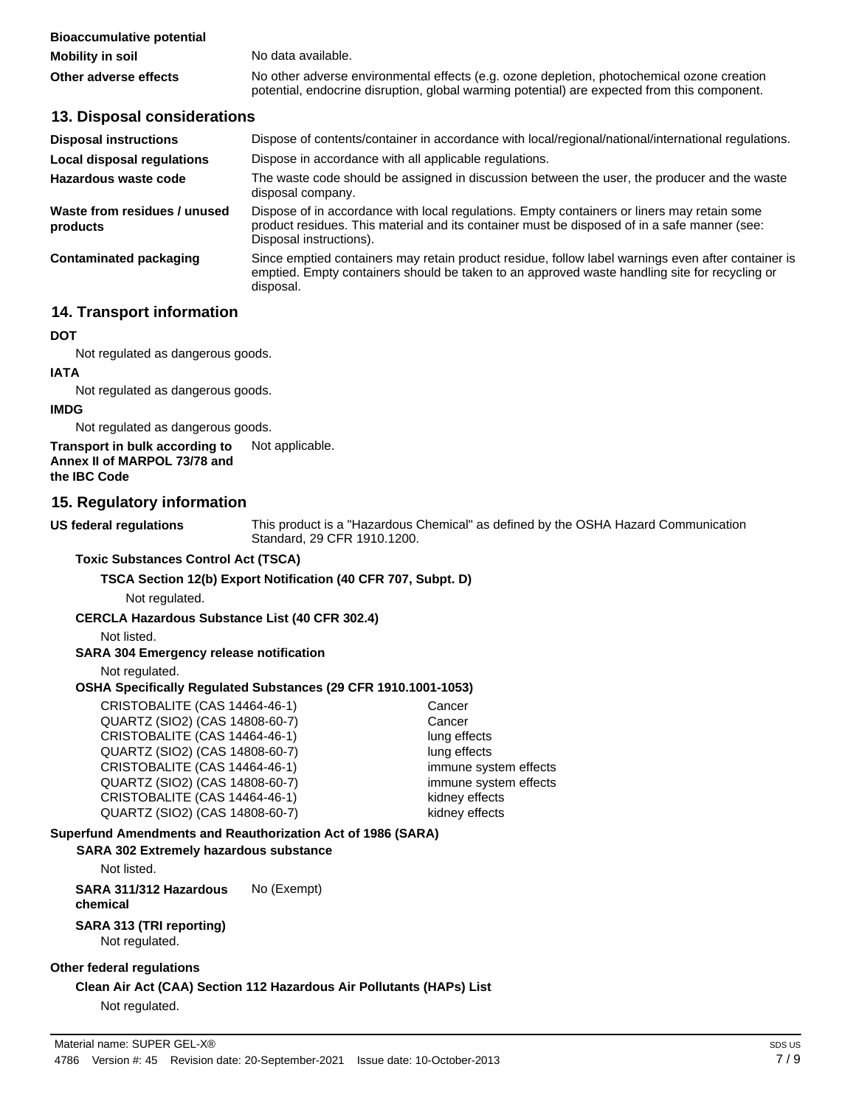| <b>Bioaccumulative potential</b> |                                                                                                                                                                                            |
|----------------------------------|--------------------------------------------------------------------------------------------------------------------------------------------------------------------------------------------|
| <b>Mobility in soil</b>          | No data available.                                                                                                                                                                         |
| Other adverse effects            | No other adverse environmental effects (e.g. ozone depletion, photochemical ozone creation<br>potential, endocrine disruption, global warming potential) are expected from this component. |

#### **13. Disposal considerations**

| <b>Disposal instructions</b>             | Dispose of contents/container in accordance with local/regional/national/international regulations.                                                                                                                    |  |  |
|------------------------------------------|------------------------------------------------------------------------------------------------------------------------------------------------------------------------------------------------------------------------|--|--|
| <b>Local disposal regulations</b>        | Dispose in accordance with all applicable regulations.                                                                                                                                                                 |  |  |
| Hazardous waste code                     | The waste code should be assigned in discussion between the user, the producer and the waste<br>disposal company.                                                                                                      |  |  |
| Waste from residues / unused<br>products | Dispose of in accordance with local regulations. Empty containers or liners may retain some<br>product residues. This material and its container must be disposed of in a safe manner (see:<br>Disposal instructions). |  |  |
| Contaminated packaging                   | Since emptied containers may retain product residue, follow label warnings even after container is<br>emptied. Empty containers should be taken to an approved waste handling site for recycling or<br>disposal.       |  |  |

# **14. Transport information**

#### **DOT**

Not regulated as dangerous goods.

#### **IATA**

Not regulated as dangerous goods.

#### **IMDG**

Not regulated as dangerous goods.

**Transport in bulk according to** Not applicable. **Annex II of MARPOL 73/78 and the IBC Code**

# **15. Regulatory information**

**US federal regulations**

This product is a "Hazardous Chemical" as defined by the OSHA Hazard Communication Standard, 29 CFR 1910.1200.

#### **Toxic Substances Control Act (TSCA)**

### **TSCA Section 12(b) Export Notification (40 CFR 707, Subpt. D)**

Not regulated.

### **CERCLA Hazardous Substance List (40 CFR 302.4)**

Not listed.

### **SARA 304 Emergency release notification**

Not regulated.

#### **OSHA Specifically Regulated Substances (29 CFR 1910.1001-1053)**

CRISTOBALITE (CAS 14464-46-1) Cancer QUARTZ (SIO2) (CAS 14808-60-7) Cancer CRISTOBALITE (CAS 14464-46-1) lung effects QUARTZ (SIO2) (CAS 14808-60-7) lung effects CRISTOBALITE (CAS 14464-46-1) immune system effects QUARTZ (SIO2) (CAS 14808-60-7) immune system effects CRISTOBALITE (CAS 14464-46-1) kidney effects QUARTZ (SIO2) (CAS 14808-60-7) kidney effects

# **Superfund Amendments and Reauthorization Act of 1986 (SARA)**

#### **SARA 302 Extremely hazardous substance**

Not listed.

**SARA 311/312 Hazardous** No (Exempt) **chemical**

#### **SARA 313 (TRI reporting)** Not regulated.

### **Other federal regulations**

# **Clean Air Act (CAA) Section 112 Hazardous Air Pollutants (HAPs) List**

Not regulated.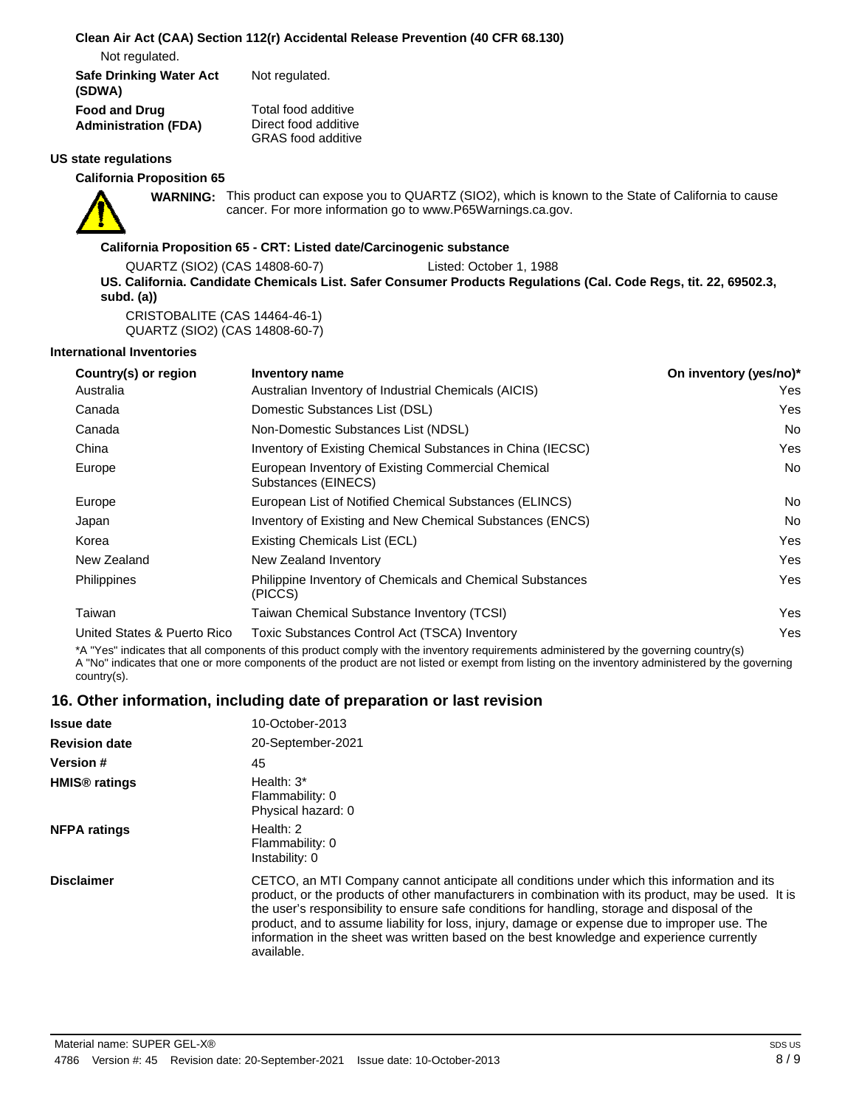#### **Clean Air Act (CAA) Section 112(r) Accidental Release Prevention (40 CFR 68.130)**

Not regulated.

| <b>Safe Drinking Water Act</b> | Not regulated.            |
|--------------------------------|---------------------------|
| (SDWA)                         |                           |
| <b>Food and Drug</b>           | Total food additive       |
| <b>Administration (FDA)</b>    | Direct food additive      |
|                                | <b>GRAS</b> food additive |

#### **US state regulations**

**California Proposition 65**



WARNING: This product can expose you to QUARTZ (SIO2), which is known to the State of California to cause cancer. For more information go to www.P65Warnings.ca.gov.

#### **California Proposition 65 - CRT: Listed date/Carcinogenic substance**

QUARTZ (SIO2) (CAS 14808-60-7) Listed: October 1, 1988 **US. California. Candidate Chemicals List. Safer Consumer Products Regulations (Cal. Code Regs, tit. 22, 69502.3, subd. (a))**

CRISTOBALITE (CAS 14464-46-1) QUARTZ (SIO2) (CAS 14808-60-7)

#### **International Inventories**

| Country(s) or region        | Inventory name                                                              | On inventory (yes/no)* |
|-----------------------------|-----------------------------------------------------------------------------|------------------------|
| Australia                   | Australian Inventory of Industrial Chemicals (AICIS)                        | Yes                    |
| Canada                      | Domestic Substances List (DSL)                                              | Yes                    |
| Canada                      | Non-Domestic Substances List (NDSL)                                         | No.                    |
| China                       | Inventory of Existing Chemical Substances in China (IECSC)                  | Yes                    |
| Europe                      | European Inventory of Existing Commercial Chemical<br>Substances (EINECS)   | <b>No</b>              |
| Europe                      | European List of Notified Chemical Substances (ELINCS)                      | No.                    |
| Japan                       | Inventory of Existing and New Chemical Substances (ENCS)                    | No.                    |
| Korea                       | Existing Chemicals List (ECL)                                               | Yes                    |
| New Zealand                 | New Zealand Inventory                                                       | Yes                    |
| <b>Philippines</b>          | <b>Philippine Inventory of Chemicals and Chemical Substances</b><br>(PICCS) | Yes                    |
| Taiwan                      | Taiwan Chemical Substance Inventory (TCSI)                                  | Yes                    |
| United States & Puerto Rico | Toxic Substances Control Act (TSCA) Inventory                               | Yes                    |

\*A "Yes" indicates that all components of this product comply with the inventory requirements administered by the governing country(s) A "No" indicates that one or more components of the product are not listed or exempt from listing on the inventory administered by the governing country(s).

# **16. Other information, including date of preparation or last revision**

| <b>Issue date</b>               | 10-October-2013                                                                                                                                                                                                                                                                                                                                                                                                                                                                                                 |
|---------------------------------|-----------------------------------------------------------------------------------------------------------------------------------------------------------------------------------------------------------------------------------------------------------------------------------------------------------------------------------------------------------------------------------------------------------------------------------------------------------------------------------------------------------------|
| <b>Revision date</b>            | 20-September-2021                                                                                                                                                                                                                                                                                                                                                                                                                                                                                               |
| <b>Version #</b>                | 45                                                                                                                                                                                                                                                                                                                                                                                                                                                                                                              |
| <b>HMIS<sup>®</sup></b> ratings | Health: $3^*$<br>Flammability: 0<br>Physical hazard: 0                                                                                                                                                                                                                                                                                                                                                                                                                                                          |
| <b>NFPA ratings</b>             | Health: $2$<br>Flammability: 0<br>Instability: 0                                                                                                                                                                                                                                                                                                                                                                                                                                                                |
| <b>Disclaimer</b>               | CETCO, an MTI Company cannot anticipate all conditions under which this information and its<br>product, or the products of other manufacturers in combination with its product, may be used. It is<br>the user's responsibility to ensure safe conditions for handling, storage and disposal of the<br>product, and to assume liability for loss, injury, damage or expense due to improper use. The<br>information in the sheet was written based on the best knowledge and experience currently<br>available. |